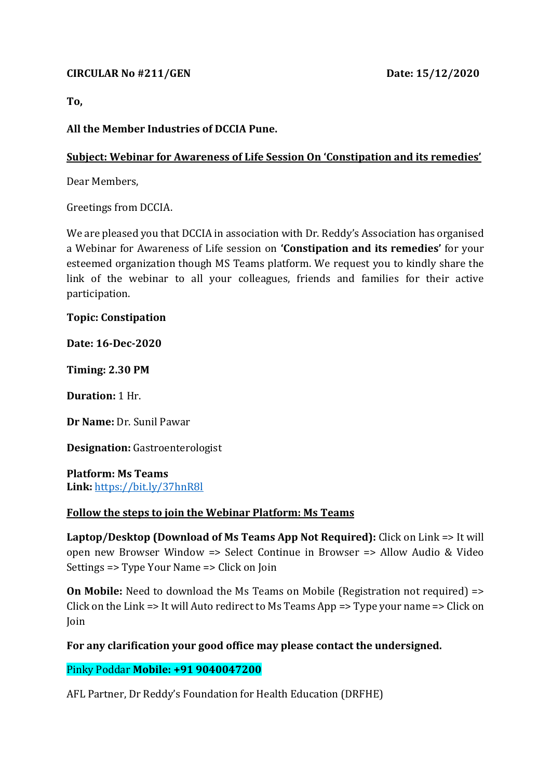## **CIRCULAR No #211/GEN Date: 15/12/2020**

**To,** 

## **All the Member Industries of DCCIA Pune.**

## **Subject: Webinar for Awareness of Life Session On 'Constipation and its remedies'**

Dear Members,

Greetings from DCCIA.

We are pleased you that DCCIA in association with Dr. Reddy's Association has organised a Webinar for Awareness of Life session on **'Constipation and its remedies'** for your esteemed organization though MS Teams platform. We request you to kindly share the link of the webinar to all your colleagues, friends and families for their active participation.

**Topic: Constipation**

**Date: 16-Dec-2020**

**Timing: 2.30 PM**

**Duration:** 1 Hr.

**Dr Name:** Dr. Sunil Pawar

**Designation:** Gastroenterologist

**Platform: Ms Teams Link:** [https://bit.ly/37hnR8l](https://apc01.safelinks.protection.outlook.com/?url=https%3A%2F%2Fbit.ly%2F37hnR8l&data=04%7C01%7C%7C1dc0b67e3fd94bfb829d08d8a0440077%7C6d14682b68a64a25af3d06615e146b1e%7C0%7C0%7C637435561248690013%7CUnknown%7CTWFpbGZsb3d8eyJWIjoiMC4wLjAwMDAiLCJQIjoiV2luMzIiLCJBTiI6Ik1haWwiLCJXVCI6Mn0%3D%7C1000&sdata=zQ%2FabvVJZluKfwYGD%2FDTKJ42vtUA703fcXjicGPpVGI%3D&reserved=0)

## **Follow the steps to join the Webinar Platform: Ms Teams**

**Laptop/Desktop (Download of Ms Teams App Not Required):** Click on Link => It will open new Browser Window => Select Continue in Browser => Allow Audio & Video Settings => Type Your Name => Click on Join

**On Mobile:** Need to download the Ms Teams on Mobile (Registration not required) => Click on the Link => It will Auto redirect to Ms Teams App => Type your name => Click on Join

**For any clarification your good office may please contact the undersigned.**

Pinky Poddar **Mobile: +91 9040047200**

AFL Partner, Dr Reddy's Foundation for Health Education (DRFHE)